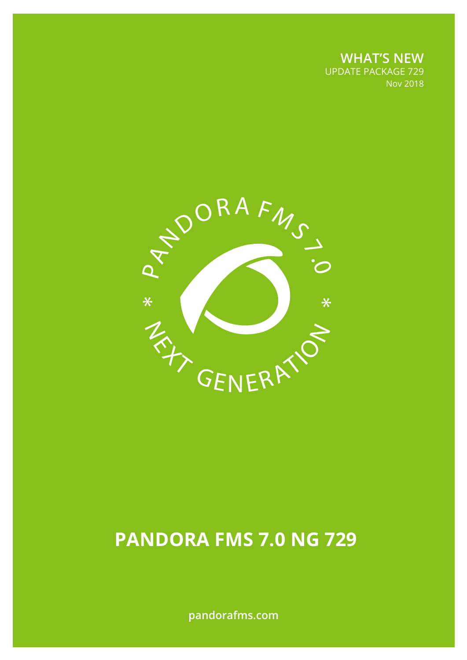**WHAT'S NEW** UPDATE PACKAGE 729 Nov 2018



# **PANDORA FMS 7.0 NG 729**

**pandorafms.com**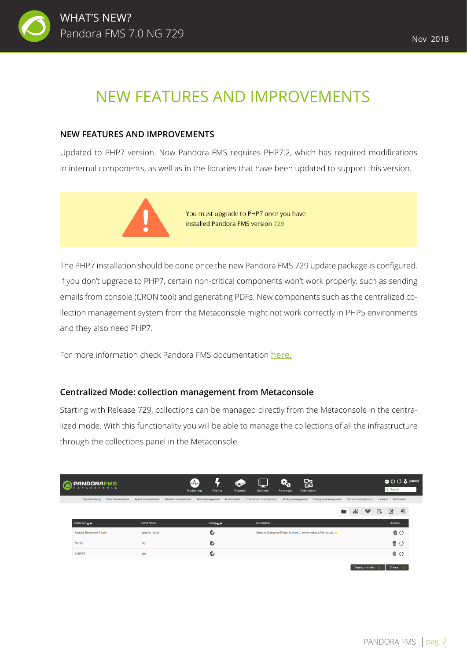

## NEW FEATURES AND IMPROVEMENTS

#### **NEW FEATURES AND IMPROVEMENTS**

Updated to PHP7 version. Now Pandora FMS requires PHP7.2, which has required modifications in internal components, as well as in the libraries that have been updated to support this version.



You must upgrade to PHP7 once you have installed Pandora FMS version 729.

The PHP7 installation should be done once the new Pandora FMS 729 update package is configured. If you don't upgrade to PHP7, certain non-critical components won't work properly, such as sending emails from console (CRON tool) and generating PDFs. New components such as the centralized collection management system from the Metaconsole might not work correctly in PHP5 environments and they also need PHP7.

For more information check Pandora FMS documentation [here.](https://wiki.pandorafms.com/index.php?title=Pandora:Documentation_en:_PHP_7)

#### **Centralized Mode: collection management from Metaconsole**

Starting with Release 729, collections can be managed directly from the Metaconsole in the centralized mode. With this functionality you will be able to manage the collections of all the infrastructure through the collections panel in the Metaconsole.

| <b>PANDORAFMS</b><br><b>TACONSOLE</b> |                 |                   |                   | $\mathcal{L}\mathcal{L}$<br>Monitoring<br>Events | Reports      | H.<br><b>Screens</b> | Đ.<br>Advanced    | 郘<br><b>Extensions</b>                                         |               |                        |         | OUC & (admin)<br>Q Search |            |
|---------------------------------------|-----------------|-------------------|-------------------|--------------------------------------------------|--------------|----------------------|-------------------|----------------------------------------------------------------|---------------|------------------------|---------|---------------------------|------------|
| Synchronising                         | User management | Agent management  | Module management | Alert management                                 | Event alerts | Component management | Policy management | Category management                                            |               | Server management      | Licence | Metasetup                 |            |
|                                       |                 |                   |                   |                                                  |              |                      |                   |                                                                | $\frac{1}{2}$ | 燮                      | B       | 屠                         | $\bigcirc$ |
| Collection                            |                 | <b>Short Name</b> |                   | Group A                                          |              | <b>Description</b>   |                   |                                                                |               |                        |         | <b>Actions</b>            |            |
| Apache Enterprise Plugin              |                 | apache plugin     |                   | 6                                                |              |                      |                   | Apache Enterprise Plugin to moni server using a Perl script. → |               |                        |         | 面じ                        |            |
| <b>MySQL</b>                          |                 | my                |                   | 6                                                |              |                      |                   |                                                                |               |                        |         | 面じ                        |            |
| <b>SyBASE</b>                         |                 | syb               |                   | 6                                                |              |                      |                   |                                                                |               |                        |         | 立つ むしょう むしょう              |            |
|                                       |                 |                   |                   |                                                  |              |                      |                   |                                                                |               | Doubless in modern No. |         | <b>Constantinople</b>     |            |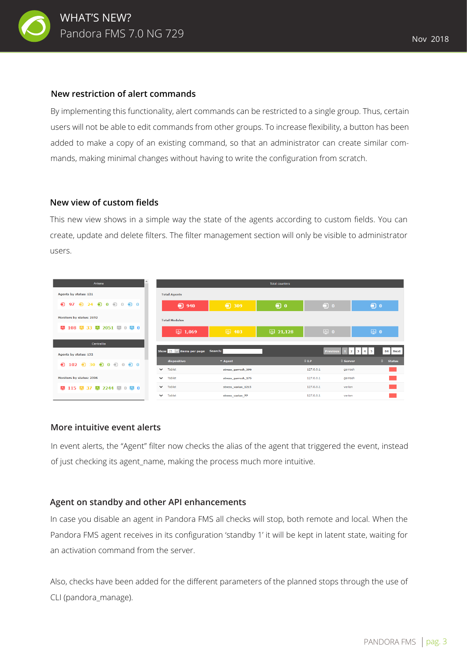

#### **New restriction of alert commands**

By implementing this functionality, alert commands can be restricted to a single group. Thus, certain users will not be able to edit commands from other groups. To increase flexibility, a button has been added to make a copy of an existing command, so that an administrator can create similar commands, making minimal changes without having to write the configuration from scratch.

#### **New view of custom fields**

This new view shows in a simple way the state of the agents according to custom fields. You can create, update and delete filters. The filter management section will only be visible to administrator users.

| $\hat{\phantom{a}}$<br>Antena                                                                 |                                         |                             | <b>Total counters</b> |                     |                                                         |
|-----------------------------------------------------------------------------------------------|-----------------------------------------|-----------------------------|-----------------------|---------------------|---------------------------------------------------------|
| Agents by status: 121                                                                         | <b>Total Agents</b>                     |                             |                       |                     |                                                         |
| $\bigcirc$<br>$\oplus$<br>24<br>⊕<br>⊕<br>97<br>$\bf{0}$<br>$\Omega$<br>⋒<br>$\bf{0}$         | $\bigcirc$<br>940                       | $\bigcirc$ 309              | $\bigcirc$ o          | $\bigcirc$ 0        | $\bigcirc$ o                                            |
| Monitors by status: 2192                                                                      | <b>Total Modules</b>                    |                             |                       |                     |                                                         |
| 108 4 33 4 2051 4 0 4 0<br>$\lambda$                                                          | 四 1,069                                 | 四 403                       | $\frac{1}{2}$ 21,128  | $\mathbf{\omega}$ o | $\Phi$ 0                                                |
| Centralita                                                                                    |                                         |                             |                       |                     |                                                         |
| Agents by status: 132                                                                         | Show $15$ $\vee$ items per page Search: |                             |                       | Previous            | 5<br>84 Next<br>2 <sup>1</sup><br>3<br>$\boldsymbol{A}$ |
| $30$ $\bigcirc$<br>$\oplus$<br>$\bigcirc$<br>⊕<br>102<br>$\bf{0}$<br>$\bigcirc$ 0<br>$\Omega$ | dispositivo                             | $\blacktriangleright$ Agent |                       | OID                 | ↓ Server<br>$\circ$<br><b>Status</b>                    |
|                                                                                               | Tablet<br>$\checkmark$                  | stress_garrosh_596          |                       | 127.0.0.1           | garrosh                                                 |
| Monitors by status: 2396                                                                      | Tablet<br>$\checkmark$                  | stress garrosh 175          |                       | 127.0.0.1           | garrosh                                                 |
| 李 115 李 37 李 2244 李 0 李 0                                                                     | Tablet<br>$\checkmark$                  | stress_varian_1215          |                       | 127.0.0.1           | varian                                                  |
|                                                                                               | Tablet<br>$\checkmark$                  | stress varian 77            |                       | 127.0.0.1           | varian                                                  |

#### **More intuitive event alerts**

In event alerts, the "Agent" filter now checks the alias of the agent that triggered the event, instead of just checking its agent\_name, making the process much more intuitive.

#### **Agent on standby and other API enhancements**

In case you disable an agent in Pandora FMS all checks will stop, both remote and local. When the Pandora FMS agent receives in its configuration 'standby 1' it will be kept in latent state, waiting for an activation command from the server.

Also, checks have been added for the different parameters of the planned stops through the use of CLI (pandora\_manage).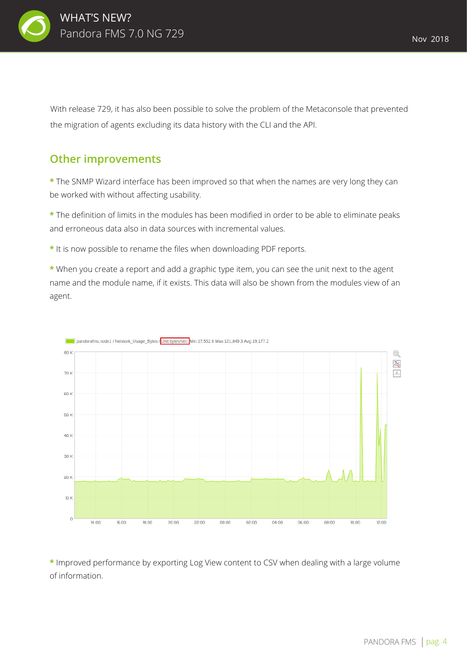

With release 729, it has also been possible to solve the problem of the Metaconsole that prevented the migration of agents excluding its data history with the CLI and the API.

### **Other improvements**

**\*** The SNMP Wizard interface has been improved so that when the names are very long they can be worked with without affecting usability.

**\*** The definition of limits in the modules has been modified in order to be able to eliminate peaks and erroneous data also in data sources with incremental values.

**\*** It is now possible to rename the files when downloading PDF reports.

**\*** When you create a report and add a graphic type item, you can see the unit next to the agent name and the module name, if it exists. This data will also be shown from the modules view of an agent.



pandorafms.node1 / Network\_Usage\_Bytes / Unit bytes/sec: Min:17,552.6 Max:121,849.3 Avg:19,177.2

**\*** Improved performance by exporting Log View content to CSV when dealing with a large volume of information.